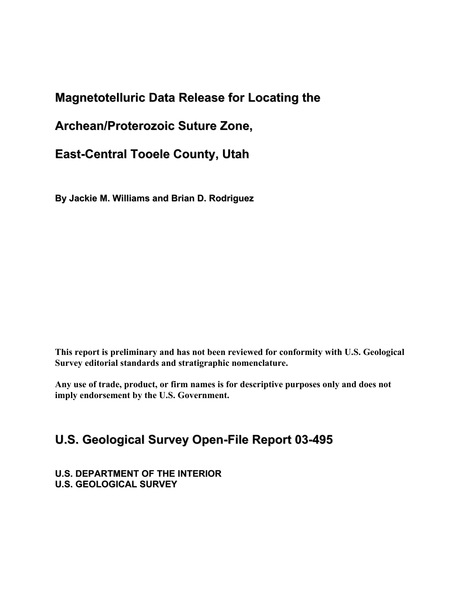## **Magnetotelluric Data Release for Locating the Magnetotelluric Data Release for Locating the**

### **Archean/Proterozoic Suture Zone, Archean/Proterozoic Suture Zone,**

## **East-Central Tooele County, Utah East-Central Tooele County, Utah**

**By Jackie M. Williams and Brian D. Rodriguez By Jackie M. Williams and Brian D. Rodriguez** 

**This report is preliminary and has not been reviewed for conformity with U.S. Geological Survey editorial standards and stratigraphic nomenclature.** 

**Any use of trade, product, or firm names is for descriptive purposes only and does not imply endorsement by the U.S. Government.** 

# **U.S. Geological Survey Open-File Report 03-495 U.S. Geological Survey Open-File Report 03-495**

### **U.S. DEPARTMENT OF THE INTERIOR U.S. DEPARTMENT OF THE INTERIOR U.S. GEOLOGICAL SURVEY U.S. GEOLOGICAL SURVEY**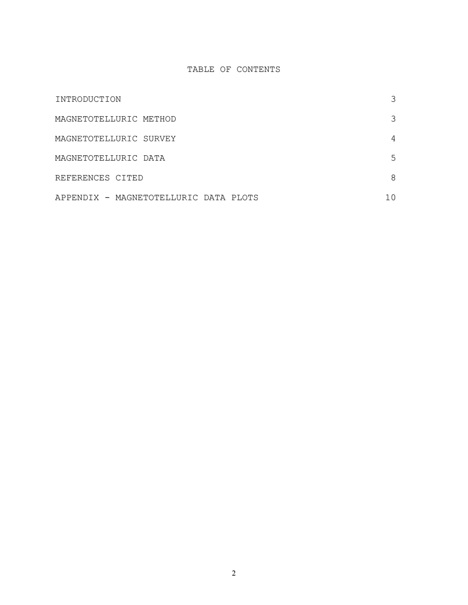#### TABLE OF CONTENTS TABLE OF CONTENTS

| INTRODUCTION                          |   |
|---------------------------------------|---|
| MAGNETOTELLURIC METHOD                |   |
| MAGNETOTELLURIC SURVEY                |   |
| MAGNETOTELLURIC DATA                  | 5 |
| REFERENCES CITED                      | 8 |
| APPENDIX - MAGNETOTELLURIC DATA PLOTS |   |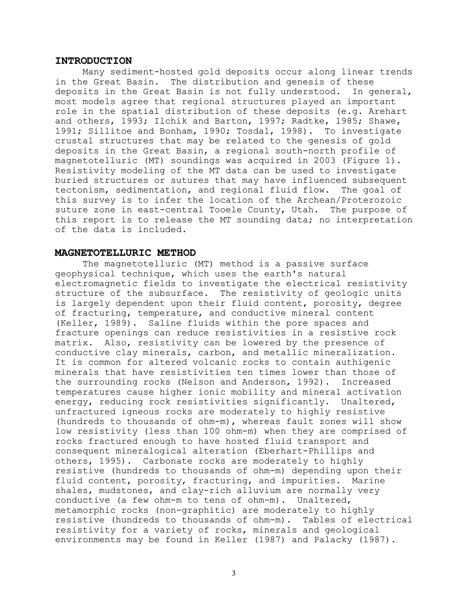### **INTRODUCTION INTRODUCTION**

Many sediment-hosted gold deposits occur along linear trends Many sediment-hosted gold deposits occur along linear trends in the Great Basin. The distribution and genesis of these in the Great Basin. The distribution and genesis of these deposits in the Great Basin is not fully understood. In general, deposits in the Great Basin is not fully understood. In general, most models agree that regional structures played an important most models agree that regional structures played an important role in the spatial distribution of these deposits (e.g. Arehart role in the spatial distribution of these deposits (e.g. Arehart and others, 1993; Ilchik and Barton, 1997; Radtke, 1985; Shawe, and others, 1993; Ilchik and Barton, 1997; Radtke, 1985; Shawe, 1991; Sillitoe and Bonham, 1990; Tosdal, 1998). To investigate 1991; Sillitoe and Bonham, 1990; Tosdal, 1998). To investigate crustal structures that may be related to the genesis of gold crustal structures that may be related to the genesis of gold deposits in the Great Basin, a regional south-north profile of deposits in the Great Basin, a regional south-north profile of magnetotelluric (MT) soundings was acquired in 2003 (Figure 1). magnetotelluric (MT) soundings was acquired in 2003 (Figure 1). Resistivity modeling of the MT data can be used to investigate Resistivity modeling of the MT data can be used to investigate buried structures or sutures that may have influenced subsequent buried structures or sutures that may have influenced subsequent tectonism, sedimentation, and regional fluid flow. The goal of this survey is to infer the location of the Archean/Proterozoic this survey is to infer the location of the Archean/Proterozoic suture zone in east-central Tooele County, Utah. The purpose of suture zone in east-central Tooele County, Utah. The purpose of this report is to release the MT sounding data; no interpretation this report is to release the MT sounding data; no interpretation of the data is included. of the data is included.

### **MAGNETOTELLURIC METHOD MAGNETOTELLURIC METHOD**

The magnetotelluric (MT) method is a passive surface The magnetotelluric (MT) method is a passive surface geophysical technique, which uses the earth's natural geophysical technique, which uses the earth's natural electromagnetic fields to investigate the electrical resistivity electromagnetic fields to investigate the electrical structure of the subsurface. The resistivity of geologic units structure of the subsurface. The resistivity of geologic units is largely dependent upon their fluid content, porosity, degree is largely dependent upon their fluid content, porosity, degree of fracturing, temperature, and conductive mineral content (Keller, 1989). Saline fluids within the pore spaces and (Keller, 1989). Saline fluids within the pore spaces and fracture openings can reduce resistivities in a resistive rock fracture openings can reduce resistivities in a resistive rock matrix. Also, resistivity can be lowered by the presence of matrix. Also, resistivity can be lowered by the presence of conductive clay minerals, carbon, and metallic mineralization. conductive clay minerals, carbon, and metallic mineralization. It is common for altered volcanic rocks to contain authigenic It is common for altered volcanic rocks to contain authigenic minerals that have resistivities ten times lower than those of minerals that have resistivities ten times lower than those of the surrounding rocks (Nelson and Anderson, 1992). Increased the surrounding rocks (Nelson and Anderson, 1992). Increased temperatures cause higher ionic mobility and mineral activation temperatures cause higher ionic mobility and mineral activation energy, reducing rock resistivities significantly. Unaltered, energy, reducing rock resistivities significantly. Unaltered, unfractured igneous rocks are moderately to highly resistive unfractured igneous rocks are moderately to highly resistive (hundreds to thousands of ohm-m), whereas fault zones will show (hundreds to thousands of ohm-m), whereas fault zones will show low resistivity (less than 100 ohm-m) when they are comprised of low resistivity (less than 100 ohm-m) when they are comprised of rocks fractured enough to have hosted fluid transport and consequent mineralogical alteration (Eberhart-Phillips and consequent mineralogical alteration (Eberhart-Phillips and others, 1995). Carbonate rocks are moderately to highly others, 1995). Carbonate rocks are moderately to highly<br>resistive (hundreds to thousands of ohm-m) depending upon their fluid content, porosity, fracturing, and impurities. Marine fluid content, porosity, fracturing, and impurities. Marine shales, mudstones, and clay-rich alluvium are normally very shales, mudstones, and clay-rich alluvium are normally very conductive (a few ohm-m to tens of ohm-m). Unaltered, conductive (a few ohm-m to tens of ohm-m). Unaltered, metamorphic rocks (non-graphitic) are moderately to highly metamorphic rocks (non-graphitic) are moderately to highly resistive (hundreds to thousands of ohm-m). Tables of electrical resistive (hundreds to thousands of ohm-m). Tables of electrical resistivity for a variety of rocks, minerals and geological resistivity for a variety of rocks, minerals and geological environments may be found in Keller (1987) and Palacky (1987). environments may be found in Keller (1987) and Palacky (1987).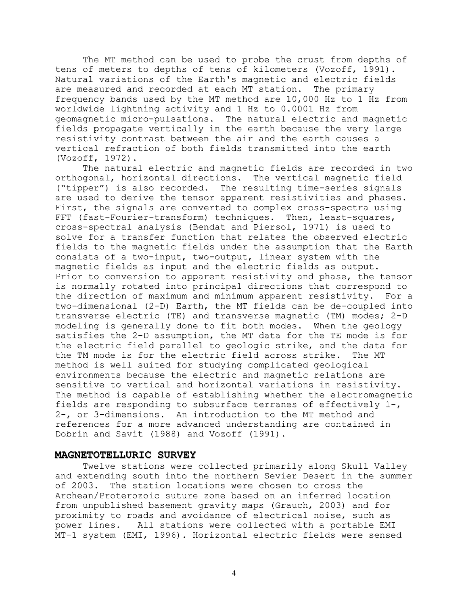The MT method can be used to probe the crust from depths of The MT method can be used to probe the crust from depths of tens of meters to depths of tens of kilometers (Vozoff, 1991). tens of meters to depths of tens of kilometers (Vozoff, 1991). Natural variations of the Earth's magnetic and electric fields Natural variations of the Earth's magnetic and electric fields are measured and recorded at each MT station. The primary are measured and recorded at each MT station. The primary frequency bands used by the MT method are 10,000 Hz to 1 Hz from frequency bands used by the MT method are 10,000 Hz to 1 Hz from worldwide lightning activity and 1 Hz to 0.0001 Hz from worldwide lightning activity and 1 Hz to 0.0001 Hz from geomagnetic micro-pulsations. The natural electric and magnetic geomagnetic micro-pulsations. The natural electric and magnetic fields propagate vertically in the earth because the very large fields propagate vertically in the earth because the very large resistivity contrast between the air and the earth causes a vertical refraction of both fields transmitted into the earth vertical refraction of both fields transmitted into the earth (Vozoff, 1972). (Vozoff, 1972).

The natural electric and magnetic fields are recorded in two The natural electric and magnetic fields are recorded in two orthogonal, horizontal directions. The vertical magnetic field orthogonal, horizontal directions. The vertical magnetic field ("tipper") is also recorded. The resulting time-series signals ("tipper") is also recorded. The resulting time-series signals are used to derive the tensor apparent resistivities and phases. are used to derive the tensor apparent resistivities and phases. First, the signals are converted to complex cross-spectra using First, the signals are converted to complex cross-spectra using FFT (fast-Fourier-transform) techniques. Then, least-squares, FFT (fast-Fourier-transform) techniques. Then, least-squares, cross-spectral analysis (Bendat and Piersol, 1971) is used to cross-spectral analysis (Bendat and Piersol, 1971) is used to solve for a transfer function that relates the observed electric solve for a transfer function that relates the observed electric fields to the magnetic fields under the assumption that the Earth fields to the magnetic fields under the assumption that the Earth consists of a two-input, two-output, linear system with the consists of a two-input, two-output, linear system with the magnetic fields as input and the electric fields as output. magnetic fields as input and the electric fields as output. Prior to conversion to apparent resistivity and phase, the tensor Prior to conversion to apparent resistivity and phase, the tensor is normally rotated into principal directions that correspond to is normally rotated into principal directions that correspond to the direction of maximum and minimum apparent resistivity. For a the direction of maximum and minimum apparent resistivity. For a two-dimensional (2-D) Earth, the MT fields can be de-coupled into two-dimensional (2-D) Earth, the MT fields can be de-coupled into transverse electric (TE) and transverse magnetic (TM) modes; 2-D transverse electric (TE) and transverse magnetic (TM) modes; 2-D modeling is generally done to fit both modes. When the geology modeling is generally done to fit both modes. When the geology satisfies the 2-D assumption, the MT data for the TE mode is for satisfies the 2-D assumption, the MT data for the TE mode is for the electric field parallel to geologic strike, and the data for the electric field parallel to geologic strike, and the data for the TM mode is for the electric field across strike. The MT the TM mode is for the electric field across strike. The MT method is well suited for studying complicated geological method is well suited for studying complicated geological environments because the electric and magnetic relations are environments because the electric and magnetic relations are sensitive to vertical and horizontal variations in resistivity. The method is capable of establishing whether the electromagnetic The method is capable of establishing whether the electromagnetic fields are responding to subsurface terranes of effectively 1-, fields are responding to subsurface terranes of effectively 1-, 2-, or 3-dimensions. An introduction to the MT method and 2-, or 3-dimensions. An introduction to the MT method and references for a more advanced understanding are contained in references for a more advanced understanding are contained in Dobrin and Savit (1988) and Vozoff (1991). Dobrin and Savit (1988) and Vozoff (1991).

### **MAGNETOTELLURIC SURVEY MAGNETOTELLURIC SURVEY**

Twelve stations were collected primarily along Skull Valley Twelve stations were collected primarily along Skull and extending south into the northern Sevier Desert in the summer and extending south into the northern Sevier Desert in the summer of 2003. The station locations were chosen to cross the of 2003. The station locations were chosen to cross the Archean/Proterozoic suture zone based on an inferred location Archean/Proterozoic suture zone based on an inferred location from unpublished basement gravity maps (Grauch, 2003) and for from unpublished basement gravity maps (Grauch, 2003) and for proximity to roads and avoidance of electrical noise, such as proximity to roads and avoidance of electrical noise, such as power lines. All stations were collected with a portable EMI power lines. All stations were collected with a portable EMI MT-1 system (EMI, 1996). Horizontal electric fields were sensed MT-1 system (EMI, 1996). Horizontal electric fields were sensed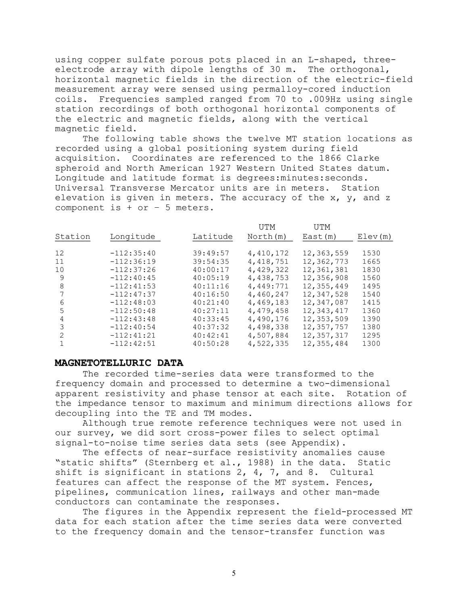using copper sulfate porous pots placed in an L-shaped, three-using copper sulfate porous pots placed in an L-shaped, threeelectrode array with dipole lengths of 30 m. The orthogonal, electrode array with dipole lengths of 30 m. The orthogonal,<br>horizontal magnetic fields in the direction of the electric-field measurement array were sensed using permalloy-cored induction measurement array were sensed using permalloy-cored induction coils. Frequencies sampled ranged from 70 to .009Hz using single coils. Frequencies sampled ranged from 70 to .009Hz using single station recordings of both orthogonal horizontal components of station recordings of both orthogonal horizontal components of the electric and magnetic fields, along with the vertical the electric and magnetic fields, along with the vertical magnetic field. magnetic field.

The following table shows the twelve MT station locations as The following table shows the twelve MT station locations as recorded using a global positioning system during field recorded using a global positioning system during field acquisition. Coordinates are referenced to the 1866 Clarke acquisition. Coordinates are referenced to the 1866 Clarke spheroid and North American 1927 Western United States datum. spheroid and North American 1927 Western United States datum. Longitude and latitude format is degrees:minutes:seconds. Longitude and latitude format is degrees:minutes:seconds. Universal Transverse Mercator units are in meters. Station Universal Transverse Mercator units are in meters. Station elevation is given in meters. The accuracy of the x, y, and z component is + or – 5 meters. component is + or – 5 meters.

|              |          | UTM       | UTM          |                          |
|--------------|----------|-----------|--------------|--------------------------|
| Longitude    | Latitude | North (m) | East(m)      | Elev(m)                  |
| $-112:35:40$ | 39:49:57 |           |              | 1530                     |
| $-112:36:19$ | 39:54:35 | 4,418,751 |              | 1665                     |
| $-112:37:26$ | 40:00:17 | 4,429,322 | 12, 361, 381 | 1830                     |
| $-112:40:45$ | 40:05:19 | 4,438,753 | 12,356,908   | 1560                     |
| $-112:41:53$ | 40:11:16 | 4,449:771 | 12,355,449   | 1495                     |
| $-112:47:37$ | 40:16:50 | 4,460,247 | 12,347,528   | 1540                     |
| $-112:48:03$ | 40:21:40 | 4,469,183 | 12,347,087   | 1415                     |
| $-112:50:48$ | 40:27:11 | 4,479,458 | 12,343,417   | 1360                     |
| $-112:43:48$ | 40:33:45 | 4,490,176 | 12,353,509   | 1390                     |
| $-112:40:54$ | 40:37:32 | 4,498,338 | 12,357,757   | 1380                     |
| $-112:41:21$ | 40:42:41 | 4,507,884 | 12,357,317   | 1295                     |
| $-112:42:51$ | 40:50:28 | 4,522,335 | 12,355,484   | 1300                     |
|              |          |           | 4,410,172    | 12,363,559<br>12,362,773 |

### **MAGNETOTELLURIC DATA MAGNETOTELLURIC DATA**

The recorded time-series data were transformed to the The recorded time-series data were transformed to the frequency domain and processed to determine a two-dimensional frequency domain and processed to determine a two-dimensional apparent resistivity and phase tensor at each site. Rotation of apparent resistivity and phase tensor at each site. Rotation of the impedance tensor to maximum and minimum directions allows for the impedance tensor to maximum and minimum directions allows for decoupling into the TE and TM modes. decoupling into the TE and TM modes.

Although true remote reference techniques were not used in Although true remote reference techniques were not used in our survey, we did sort cross-power files to select optimal our survey, we did sort cross-power files to select optimal signal-to-noise time series data sets (see Appendix). signal-to-noise time series data sets (see Appendix).

The effects of near-surface resistivity anomalies cause The effects of near-surface resistivity anomalies cause "static shifts" (Sternberg et al., 1988) in the data. Static "static shifts" (Sternberg et al., 1988) in the data. Static shift is significant in stations 2, 4, 7, and 8. Cultural shift is significant in stations 2, 4, 7, and 8. Cultural features can affect the response of the MT system. Fences, features can affect the response of the MT system. Fences, pipelines, communication lines, railways and other man-made pipelines, communication lines, railways and other man-made conductors can contaminate the responses. conductors can contaminate the responses.

The figures in the Appendix represent the field-processed MT The figures in the Appendix represent the field-processed MT data for each station after the time series data were converted data for each station after the time series data were converted to the frequency domain and the tensor-transfer function was to the frequency domain and the tensor-transfer function was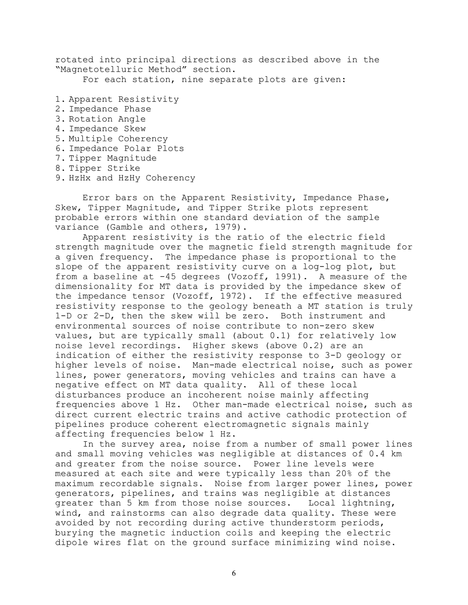rotated into principal directions as described above in the rotated into principal directions as described above in the "Magnetotelluric Method" section. "Magnetotelluric Method" section.

For each station, nine separate plots are given: For each station, nine separate plots are given:

```
1. Apparent Resistivity
1. Apparent Resistivity
```
- 2. Impedance Phase 2. Impedance Phase
- 3. Rotation Angle 3. Rotation Angle
- 4. Impedance Skew 4. Impedance Skew
- 5. Multiple Coherency
- 6. Impedance Polar Plots 5. Multiple 6. Impedance Polar Plots
- 7. Tipper Magnitude 7. Tipper Magnitude
- 8. Tipper Strike 8. Tipper Strike
- 9. HzHx and HzHy Coherency 9. HzHx and HzHy Coherency

Error bars on the Apparent Resistivity, Impedance Phase, Error bars on the Apparent Resistivity, Impedance Phase, Skew, Tipper Magnitude, and Tipper Strike plots represent Skew, Tipper Magnitude, and Tipper Strike plots represent probable errors within one standard deviation of the sample probable errors within one standard deviation of the sample variance (Gamble and others, 1979). variance (Gamble and others, 1979).

Apparent resistivity is the ratio of the electric field Apparent resistivity is the ratio of the electric field strength magnitude over the magnetic field strength magnitude for strength magnitude over the magnetic field strength magnitude for a given frequency. The impedance phase is proportional to the a given frequency. The impedance phase is proportional to the slope of the apparent resistivity curve on a log-log plot, but slope of the apparent resistivity curve on a log-log plot, but from a baseline at -45 degrees (Vozoff, 1991). A measure of the from a baseline at -45 degrees (Vozoff, 1991). A measure of the dimensionality for MT data is provided by the impedance skew of dimensionality for MT data is provided by the impedance skew of the impedance tensor (Vozoff, 1972). If the effective measured the impedance tensor (Vozoff, 1972). If the effective measured resistivity response to the geology beneath a MT station is truly resistivity response to the geology beneath a MT station is truly 1-D or 2-D, then the skew will be zero. Both instrument and 1-D or 2-D, then the skew will be zero. Both instrument and environmental sources of noise contribute to non-zero skew environmental sources of noise contribute to non-zero skew values, but are typically small (about 0.1) for relatively low values, but are typically small (about 0.1) for relatively low noise level recordings. Higher skews (above 0.2) are an noise level recordings. Higher skews (above 0.2) are an indication of either the resistivity response to 3-D geology or indication of either the resistivity response to 3-D geology or higher levels of noise. Man-made electrical noise, such as power higher levels of noise. Man-made electrical noise, such as power lines, power generators, moving vehicles and trains can have a lines, power generators, moving vehicles and trains can have a negative effect on MT data quality. All of these local negative effect on MT data quality. All of these local disturbances produce an incoherent noise mainly affecting disturbances produce an incoherent noise mainly affecting frequencies above 1 Hz. Other man-made electrical noise, such as frequencies above 1 Hz. Other man-made electrical noise, such as direct current electric trains and active cathodic protection of direct current electric trains and active cathodic protection of pipelines produce coherent electromagnetic signals mainly pipelines produce coherent electromagnetic signals mainlyaffecting frequencies below 1 Hz. affecting frequencies below 1 Hz.

In the survey area, noise from a number of small power lines In the survey area, noise from a number of small power lines and small moving vehicles was negligible at distances of 0.4 km and small moving vehicles was negligible at distances of 0.4 km and greater from the noise source. Power line levels were and greater from the noise source. Power line levels were measured at each site and were typically less than 20% of the measured at each site and were typically less than 20% of the maximum recordable signals. Noise from larger power lines, power maximum recordable signals. Noise from larger power lines, power generators, pipelines, and trains was negligible at distances generators, pipelines, and trains was negligible at distances greater than 5 km from those noise sources. Local lightning, greater than 5 km from those noise sources. Local lightning, wind, and rainstorms can also degrade data quality. These were avoided by not recording during active thunderstorm periods, avoided by not recording during active thunderstorm periods,<br>burying the magnetic induction coils and keeping the electric dipole wires flat on the ground surface minimizing wind noise. dipole wires flat on the ground surface minimizing wind noise.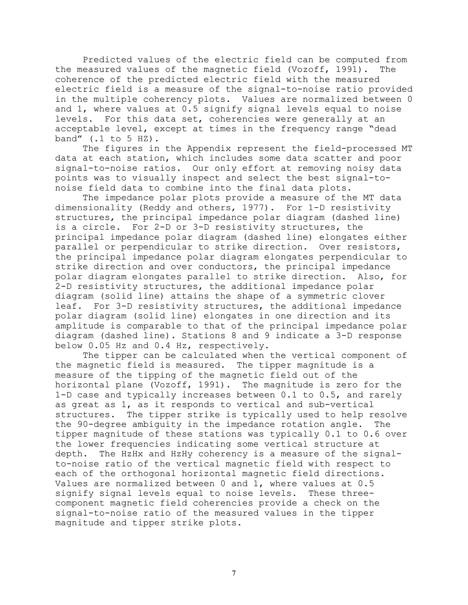Predicted values of the electric field can be computed from Predicted values of the electric field can be computed from the measured values of the magnetic field (Vozoff, 1991). The the measured values of the magnetic field (Vozoff, 1991). The coherence of the predicted electric field with the measured coherence of the predicted electric field with the measured electric field is a measure of the signal-to-noise ratio provided electric field is a measure of the signal-to-noise ratio provided in the multiple coherency plots. Values are normalized between 0 in the multiple coherency plots. Values are normalized between 0 and 1, where values at 0.5 signify signal levels equal to noise and 1, where values at 0.5 signify signal levels equal to noise levels. For this data set, coherencies were generally at an levels. For this data set, coherencies were generally at an acceptable level, except at times in the frequency range "dead acceptable level, except at times in the frequency range "dead band" (.1 to 5 HZ). band" (.1 to 5 HZ).

The figures in the Appendix represent the field-processed MT The figures in the Appendix represent the field-processed MT data at each station, which includes some data scatter and poor data at each station, which includes some data scatter and poor signal-to-noise ratios. Our only effort at removing noisy data signal-to-noise ratios. Our only effort at removing noisy data points was to visually inspect and select the best signal-to-points was to visually inspect and select the best signal-tonoise field data to combine into the final data plots. noise field data to combine into the final data plots.

The impedance polar plots provide a measure of the MT data The impedance polar plots provide a measure of the MT data dimensionality (Reddy and others, 1977). For 1-D resistivity dimensionality (Reddy and others, 1977). For 1-D resistivity structures, the principal impedance polar diagram (dashed line) structures, the principal impedance polar diagram (dashed line) is a circle. For 2-D or 3-D resistivity structures, the is a circle. For 2-D or 3-D resistivity structures, the principal impedance polar diagram (dashed line) elongates either principal impedance polar diagram (dashed line) elongates either parallel or perpendicular to strike direction. Over resistors, parallel or perpendicular to strike direction. Over the principal impedance polar diagram elongates perpendicular to the principal impedance polar diagram elongates perpendicular to strike direction and over conductors, the principal impedance strike direction and over conductors, the principal impedance polar diagram elongates parallel to strike direction. Also, for polar diagram elongates parallel to strike direction. Also, for 2-D resistivity structures, the additional impedance polar 2-D resistivity structures, the additional impedance polar diagram (solid line) attains the shape of a symmetric clover diagram (solid line) attains the shape of a symmetric clover leaf. For 3-D resistivity structures, the additional impedance leaf. For 3-D resistivity structures, the additional impedance polar diagram (solid line) elongates in one direction and its polar diagram (solid line) elongates in one direction and its amplitude is comparable to that of the principal impedance polar amplitude is comparable to that of the principal impedance polar diagram (dashed line). Stations 8 and 9 indicate a 3-D response diagram (dashed line). Stations 8 and 9 indicate a 3-D response below 0.05 Hz and 0.4 Hz, respectively. below 0.05 Hz and 0.4 Hz, respectively.

The tipper can be calculated when the vertical component of The tipper can be calculated when the vertical component of the magnetic field is measured. The tipper magnitude is a the magnetic field is measured. The tipper magnitude is a measure of the tipping of the magnetic field out of the measure of the tipping of the magnetic field out of the horizontal plane (Vozoff, 1991). The magnitude is zero for the horizontal plane (Vozoff, 1991). The magnitude is zero for the 1-D case and typically increases between 0.1 to 0.5, and rarely 1-D case and typically increases between 0.1 to 0.5, and rarely as great as 1, as it responds to vertical and sub-vertical as great as 1, as it responds to vertical and sub-vertical structures. The tipper strike is typically used to help resolve structures. The tipper strike is typically used to help resolve the 90-degree ambiguity in the impedance rotation angle. The the 90-degree ambiguity in the impedance rotation angle. The tipper magnitude of these stations was typically 0.1 to 0.6 over tipper magnitude of these stations was typically 0.1 to 0.6 over the lower frequencies indicating some vertical structure at the lower frequencies indicating some vertical structure at depth. The HzHx and HzHy coherency is a measure of the signal-depth. The HzHx and HzHy coherency is a measure of the signalto-noise ratio of the vertical magnetic field with respect to to-noise ratio of the vertical magnetic field with respect to each of the orthogonal horizontal magnetic field directions. each of the orthogonal horizontal magnetic field directions. Values are normalized between 0 and 1, where values at 0.5 Values are normalized between 0 and 1, where values at 0.5 signify signal levels equal to noise levels. These threecomponent magnetic field coherencies provide a check on the component magnetic field coherencies provide a check on the signal-to-noise ratio of the measured values in the tipper signal-to-noise ratio of the measured values in the tipper magnitude and tipper strike plots. magnitude and tipper strike plots.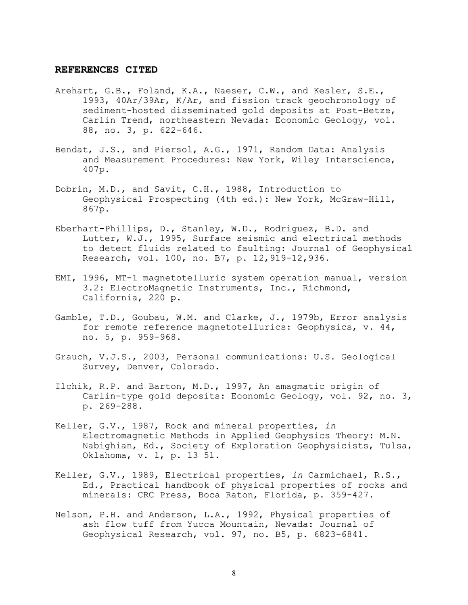### **REFERENCES CITED REFERENCES CITED**

- Arehart, G.B., Foland, K.A., Naeser, C.W., and Kesler, S.E., Arehart, G.B., Foland, K.A., Naeser, C.W., and Kesler, S.E., 1993, 40Ar/39Ar, K/Ar, and fission track geochronology of 1993, 40Ar/39Ar, K/Ar, and fission track geochronology of sediment-hosted disseminated gold deposits at Post-Betze, sediment-hosted disseminated gold deposits at Post-Betze,<br>Carlin Trend, northeastern Nevada: Economic Geology, vol. 88, no. 3, p. 622-646. 88, no. 3, p. 622-646.
- Bendat, J.S., and Piersol, A.G., 1971, Random Data: Analysis Bendat, J.S., and Piersol, A.G., 1971, Random Data: Analysis and Measurement Procedures: New York, Wiley Interscience, and Measurement Procedures: New York, Wiley Interscience, 407p. 407p.
- Dobrin, M.D., and Savit, C.H., 1988, Introduction to Dobrin, M.D., and Savit, C.H., 1988, Introduction to Geophysical Prospecting (4th ed.): New York, McGraw-Hill, Geophysical Prospecting (4th ed.): New York, McGraw-Hill, 867p. 867p.
- Eberhart-Phillips, D., Stanley, W.D., Rodriguez, B.D. and Eberhart-Phillips, D., Stanley, W.D., Rodriguez, B.D. and Lutter, W.J., 1995, Surface seismic and electrical methods Lutter, W.J., 1995, Surface seismic and electrical methods to detect fluids related to faulting: Journal of Geophysical to detect fluids related to faulting: Journal of Geophysical Research, vol. 100, no. B7, p. 12,919-12,936. Research, vol. 100, no. B7, p. 12,919-12,936.
- EMI, 1996, MT-1 magnetotelluric system operation manual, version EMI, 1996, MT-1 magnetotelluric system operation manual, version 3.2: ElectroMagnetic Instruments, Inc., Richmond, 3.2: ElectroMagnetic Instruments, Inc., Richmond, California, 220 p. California, 220 p.
- Gamble, T.D., Goubau, W.M. and Clarke, J., 1979b, Error analysis Gamble, T.D., Goubau, W.M. and Clarke, J., 1979b, Error analysis for remote reference magnetotellurics: Geophysics, v. 44, for remote reference magnetotellurics: Geophysics, v. 44, no. 5, p. 959-968. no. 5, p. 959-968.
- Grauch, V.J.S., 2003, Personal communications: U.S. Geological Grauch, V.J.S., 2003, Personal communications: U.S. Geological Survey, Denver, Colorado. Survey, Denver, Colorado.
- Ilchik, R.P. and Barton, M.D., 1997, An amagmatic origin of Ilchik, R.P. and Barton, M.D., 1997, An amagmatic origin of Carlin-type gold deposits: Economic Geology, vol. 92, no. 3, Carlin-type gold deposits: Economic Geology, vol. 92, no. 3, p. 269-288. p. 269-288.
- Keller, G.V., 1987, Rock and mineral properties, *in* Keller, G.V., 1987, Rock and mineral properties, *in*Electromagnetic Methods in Applied Geophysics Theory: M.N. Electromagnetic Methods in Applied Geophysics Theory: M.N. Nabighian, Ed., Society of Exploration Geophysicists, Tulsa, Nabighian, Ed., Society of Exploration Geophysicists, Tulsa, Oklahoma, v. 1, p. 13 51. Oklahoma, v. 1, p. 13 51.
- Keller, G.V., 1989, Electrical properties, *in* Carmichael, R.S., Ed., Practical handbook of physical properties of rocks and Ed., Practical handbook of physical properties of rocks and minerals: CRC Press, Boca Raton, Florida, p. 359-427. minerals: CRC Press, Boca Raton, Florida, p. 359-427.
- Nelson, P.H. and Anderson, L.A., 1992, Physical properties of Nelson, P.H. and Anderson, L.A., 1992, Physical properties of ash flow tuff from Yucca Mountain, Nevada: Journal of ash flow tuff from Yucca Mountain, Nevada: Journal of Geophysical Research, vol. 97, no. B5, p. 6823-6841. Geophysical Research, vol. 97, no. B5, p. 6823-6841.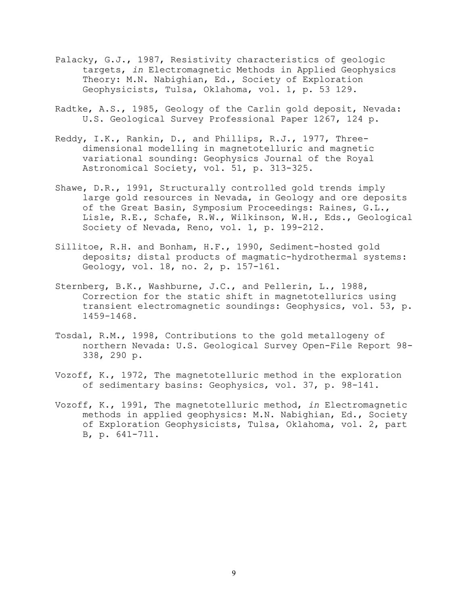- Palacky, G.J., 1987, Resistivity characteristics of geologic Palacky, G.J., 1987, Resistivity characteristics of geologic targets, *in* Electromagnetic Methods in Applied Geophysics targets, *in*Electromagnetic Methods in Applied Geophysics Theory: M.N. Nabighian, Ed., Society of Exploration Theory: M.N. Nabighian, Ed., Society of Exploration Geophysicists, Tulsa, Oklahoma, vol. 1, p. 53 129. Geophysicists, Tulsa, Oklahoma, vol. 1, p. 53 129.
- Radtke, A.S., 1985, Geology of the Carlin gold deposit, Nevada: Radtke, A.S., 1985, Geology of the Carlin gold deposit, Nevada: U.S. Geological Survey Professional Paper 1267, 124 p. U.S. Geological Survey Professional Paper 1267, 124 p.
- Reddy, I.K., Rankin, D., and Phillips, R.J., 1977, Three-Reddy, I.K., Rankin, D., and Phillips, R.J., 1977, Threedimensional modelling in magnetotelluric and magnetic dimensional modelling in magnetotelluric and magnetic variational sounding: Geophysics Journal of the Royal variational sounding: Geophysics Journal of the Royal Astronomical Society, vol. 51, p. 313-325. Astronomical Society, vol. 51, p. 313-325.
- Shawe, D.R., 1991, Structurally controlled gold trends imply Shawe, D.R., 1991, Structurally controlled gold trends imply large gold resources in Nevada, in Geology and ore deposits large gold resources in Nevada, in Geology and ore deposits of the Great Basin, Symposium Proceedings: Raines, G.L., of the Great Basin, Symposium Proceedings: Raines, G.L., Lisle, R.E., Schafe, R.W., Wilkinson, W.H., Eds., Geological Lisle, R.E., Schafe, R.W., Wilkinson, W.H., Eds., Geological Society of Nevada, Reno, vol. 1, p. 199-212. Society of Nevada, Reno, vol. 1, p. 199-212.
- Sillitoe, R.H. and Bonham, H.F., 1990, Sediment-hosted gold Sillitoe, R.H. and Bonham, H.F., 1990, Sediment-hosted gold deposits; distal products of magmatic-hydrothermal systems: deposits; distal products of magmatic-hydrothermal systems: Geology, vol. 18, no. 2, p. 157-161. Geology, vol. 18, no. 2, p. 157-161.
- Sternberg, B.K., Washburne, J.C., and Pellerin, L., 1988, Sternberg, B.K., Washburne, J.C., and Pellerin, L., 1988, Correction for the static shift in magnetotellurics using Correction for the static shift in magnetotellurics using transient electromagnetic soundings: Geophysics, vol. 53, p. transient electromagnetic soundings: Geophysics, vol. 53, p. 1459-1468. 1459-1468.
- Tosdal, R.M., 1998, Contributions to the gold metallogeny of Tosdal, R.M., 1998, Contributions to the gold metallogeny of northern Nevada: U.S. Geological Survey Open-File Report 98- northern Nevada: U.S. Geological Survey Open-File Report 98- 338, 290 p. 338, 290 p.
- Vozoff, K., 1972, The magnetotelluric method in the exploration Vozoff, K., 1972, The magnetotelluric method in the exploration of sedimentary basins: Geophysics, vol. 37, p. 98-141. of sedimentary basins: Geophysics, vol. 37, p. 98-141.
- Vozoff, K., 1991, The magnetotelluric method, *in* Electromagnetic Vozoff, K., 1991, The magnetotelluric method, *in* Electromagnetic methods in applied geophysics: M.N. Nabighian, Ed., Society methods in applied geophysics: M.N. Nabighian, Ed., Society of Exploration Geophysicists, Tulsa, Oklahoma, vol. 2, part B, p. 641-711. B, p. 641-711.